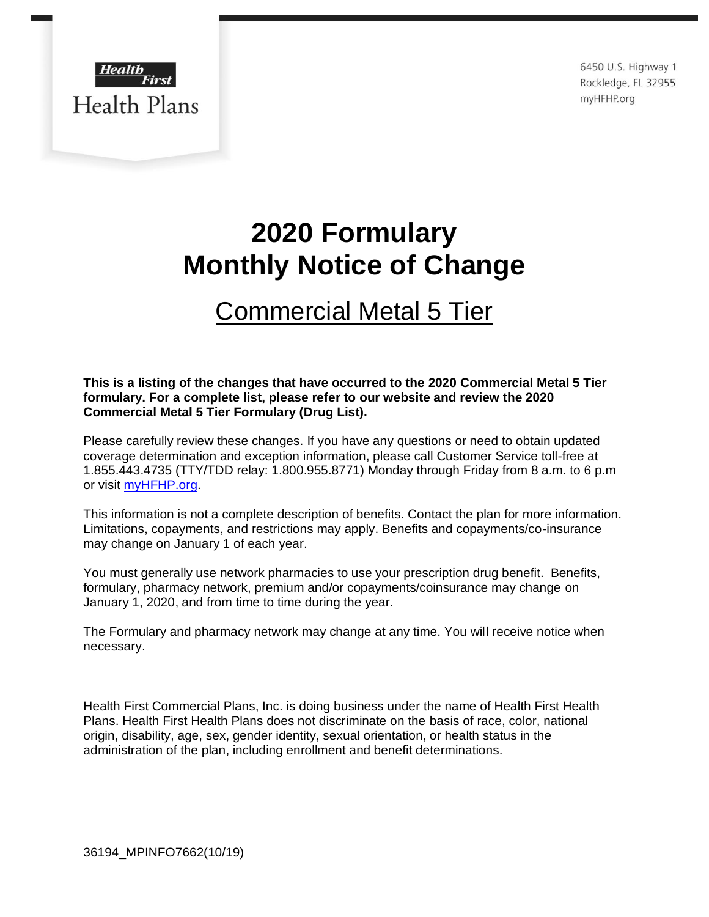

6450 U.S. Highway 1 Rockledge, FL 32955 myHFHP.org

# **2020 Formulary Monthly Notice of Change**

## Commercial Metal 5 Tier

### **This is a listing of the changes that have occurred to the 2020 Commercial Metal 5 Tier formulary. For a complete list, please refer to our website and review the 2020 Commercial Metal 5 Tier Formulary (Drug List).**

Please carefully review these changes. If you have any questions or need to obtain updated coverage determination and exception information, please call Customer Service toll-free at 1.855.443.4735 (TTY/TDD relay: 1.800.955.8771) Monday through Friday from 8 a.m. to 6 p.m or visit [myHFHP.org.](http://www.health-first.org/health_plans/healthplans.cfmhttp:/www.health-first.org/health_plans/healthplans.cfm)

This information is not a complete description of benefits. Contact the plan for more information. Limitations, copayments, and restrictions may apply. Benefits and copayments/co-insurance may change on January 1 of each year.

You must generally use network pharmacies to use your prescription drug benefit. Benefits, formulary, pharmacy network, premium and/or copayments/coinsurance may change on January 1, 2020, and from time to time during the year.

The Formulary and pharmacy network may change at any time. You will receive notice when necessary.

Health First Commercial Plans, Inc. is doing business under the name of Health First Health Plans. Health First Health Plans does not discriminate on the basis of race, color, national origin, disability, age, sex, gender identity, sexual orientation, or health status in the administration of the plan, including enrollment and benefit determinations.